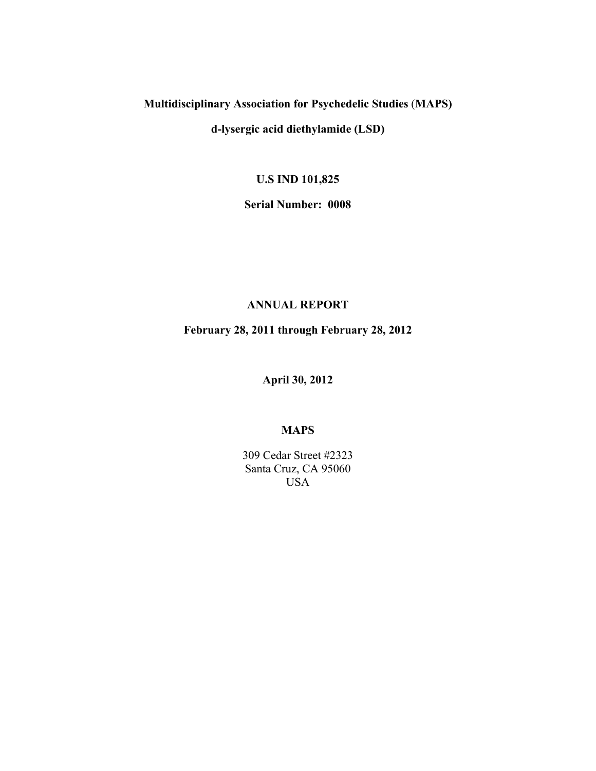### **Multidisciplinary Association for Psychedelic Studies** (**MAPS)**

**d-lysergic acid diethylamide (LSD)**

**U.S IND 101,825**

**Serial Number: 0008**

#### **ANNUAL REPORT**

**February 28, 2011 through February 28, 2012**

**April 30, 2012**

#### **MAPS**

309 Cedar Street #2323 Santa Cruz, CA 95060 USA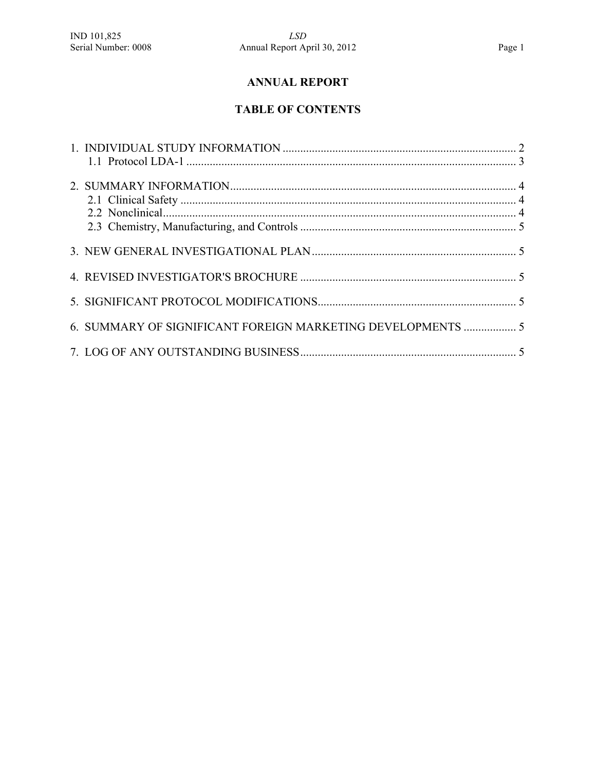## **ANNUAL REPORT**

# **TABLE OF CONTENTS**

| 6. SUMMARY OF SIGNIFICANT FOREIGN MARKETING DEVELOPMENTS  5 |  |
|-------------------------------------------------------------|--|
|                                                             |  |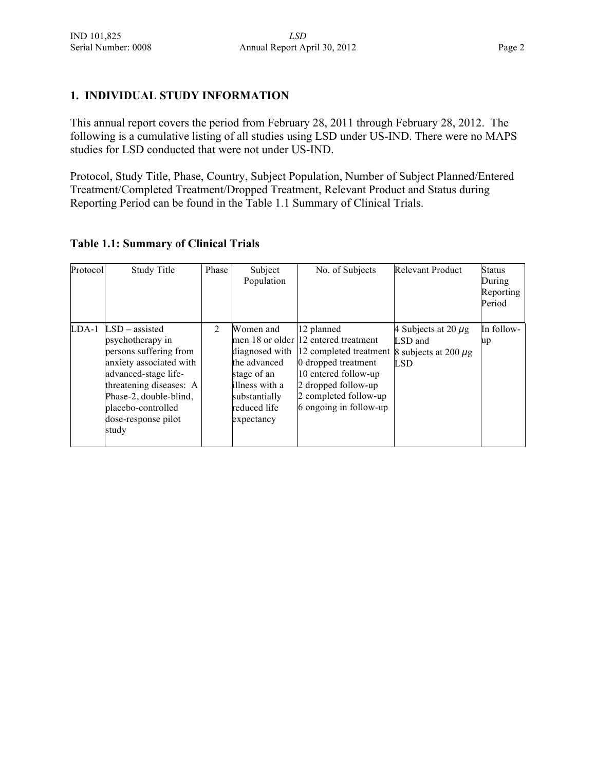#### **1. INDIVIDUAL STUDY INFORMATION**

This annual report covers the period from February 28, 2011 through February 28, 2012. The following is a cumulative listing of all studies using LSD under US-IND. There were no MAPS studies for LSD conducted that were not under US-IND.

Protocol, Study Title, Phase, Country, Subject Population, Number of Subject Planned/Entered Treatment/Completed Treatment/Dropped Treatment, Relevant Product and Status during Reporting Period can be found in the Table 1.1 Summary of Clinical Trials.

#### **Table 1.1: Summary of Clinical Trials**

| Protocol | <b>Study Title</b>                                                                                                                                                                                                           | Phase          | Subject<br>Population                                                                                     | No. of Subjects                                                                                                                                                                                                      | <b>Relevant Product</b>                                                        | <b>Status</b><br>During<br>Reporting<br>Period |
|----------|------------------------------------------------------------------------------------------------------------------------------------------------------------------------------------------------------------------------------|----------------|-----------------------------------------------------------------------------------------------------------|----------------------------------------------------------------------------------------------------------------------------------------------------------------------------------------------------------------------|--------------------------------------------------------------------------------|------------------------------------------------|
| $LDA-1$  | $LSD - assisted$<br>psychotherapy in<br>persons suffering from<br>anxiety associated with<br>advanced-stage life-<br>threatening diseases: A<br>Phase-2, double-blind,<br>placebo-controlled<br>dose-response pilot<br>study | $\overline{2}$ | Women and<br>the advanced<br>stage of an<br>illness with a<br>substantially<br>reduced life<br>expectancy | 12 planned<br>men 18 or older 12 entered treatment<br>diagnosed with 12 completed treatment<br>0 dropped treatment<br>10 entered follow-up<br>2 dropped follow-up<br>2 completed follow-up<br>6 ongoing in follow-up | 4 Subjects at 20 $\mu$ g<br>LSD and<br>8 subjects at 200 $\mu$ g<br><b>LSD</b> | In follow-<br>up                               |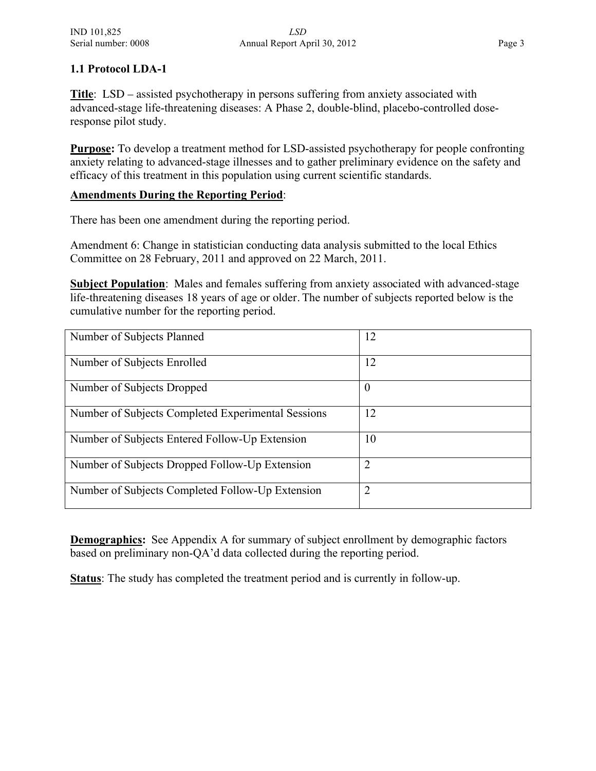#### **1.1 Protocol LDA-1**

**Title**:LSD – assisted psychotherapy in persons suffering from anxiety associated with advanced-stage life-threatening diseases: A Phase 2, double-blind, placebo-controlled doseresponse pilot study.

**Purpose:** To develop a treatment method for LSD-assisted psychotherapy for people confronting anxiety relating to advanced-stage illnesses and to gather preliminary evidence on the safety and efficacy of this treatment in this population using current scientific standards.

#### **Amendments During the Reporting Period**:

There has been one amendment during the reporting period.

Amendment 6: Change in statistician conducting data analysis submitted to the local Ethics Committee on 28 February, 2011 and approved on 22 March, 2011.

**Subject Population**: Males and females suffering from anxiety associated with advanced-stage life-threatening diseases 18 years of age or older. The number of subjects reported below is the cumulative number for the reporting period.

| Number of Subjects Planned                         | 12             |
|----------------------------------------------------|----------------|
| Number of Subjects Enrolled                        | 12             |
| Number of Subjects Dropped                         | $\theta$       |
| Number of Subjects Completed Experimental Sessions | 12             |
| Number of Subjects Entered Follow-Up Extension     | 10             |
| Number of Subjects Dropped Follow-Up Extension     | $\overline{2}$ |
| Number of Subjects Completed Follow-Up Extension   | 2              |

**Demographics:** See Appendix A for summary of subject enrollment by demographic factors based on preliminary non-QA'd data collected during the reporting period.

**Status**: The study has completed the treatment period and is currently in follow-up.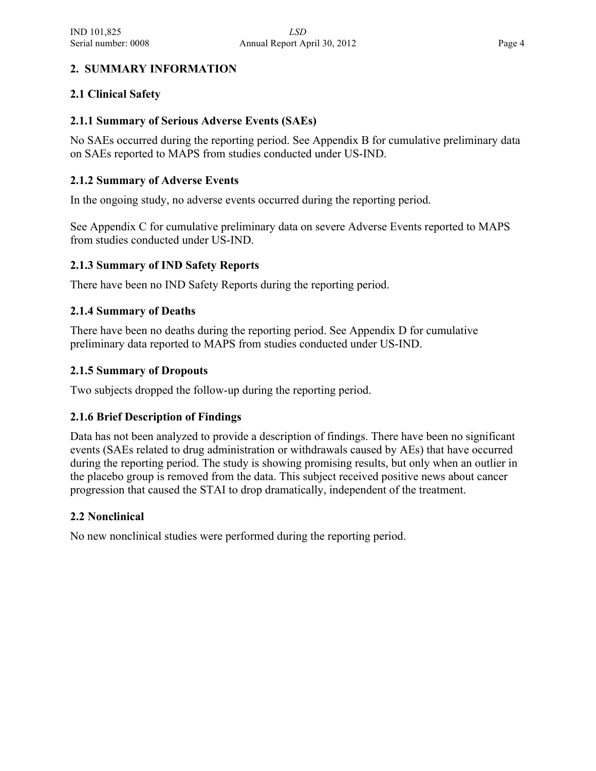#### **2. SUMMARY INFORMATION**

#### **2.1 Clinical Safety**

#### **2.1.1 Summary of Serious Adverse Events (SAEs)**

No SAEs occurred during the reporting period. See Appendix B for cumulative preliminary data on SAEs reported to MAPS from studies conducted under US-IND.

#### **2.1.2 Summary of Adverse Events**

In the ongoing study, no adverse events occurred during the reporting period.

See Appendix C for cumulative preliminary data on severe Adverse Events reported to MAPS from studies conducted under US-IND.

#### **2.1.3 Summary of IND Safety Reports**

There have been no IND Safety Reports during the reporting period.

#### **2.1.4 Summary of Deaths**

There have been no deaths during the reporting period. See Appendix D for cumulative preliminary data reported to MAPS from studies conducted under US-IND.

#### **2.1.5 Summary of Dropouts**

Two subjects dropped the follow-up during the reporting period.

#### **2.1.6 Brief Description of Findings**

Data has not been analyzed to provide a description of findings. There have been no significant events (SAEs related to drug administration or withdrawals caused by AEs) that have occurred during the reporting period. The study is showing promising results, but only when an outlier in the placebo group is removed from the data. This subject received positive news about cancer progression that caused the STAI to drop dramatically, independent of the treatment.

#### **2.2 Nonclinical**

No new nonclinical studies were performed during the reporting period.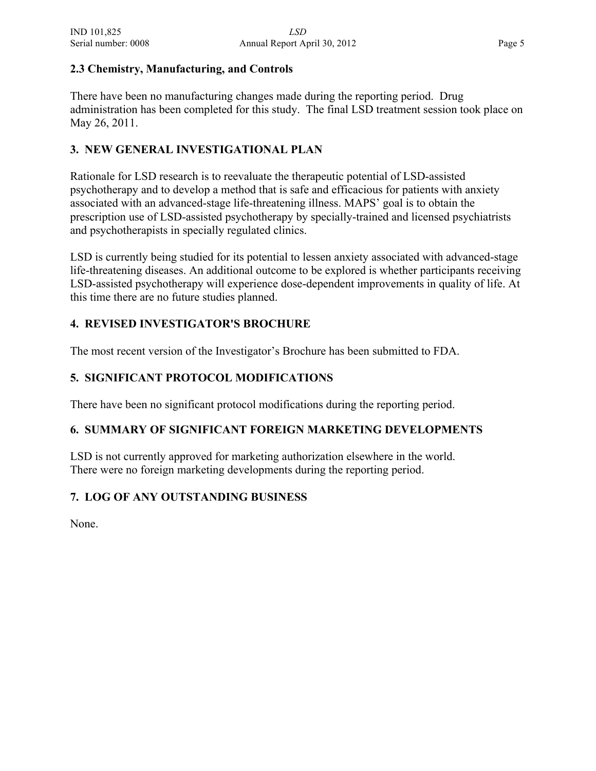#### **2.3 Chemistry, Manufacturing, and Controls**

There have been no manufacturing changes made during the reporting period. Drug administration has been completed for this study. The final LSD treatment session took place on May 26, 2011.

#### **3. NEW GENERAL INVESTIGATIONAL PLAN**

Rationale for LSD research is to reevaluate the therapeutic potential of LSD-assisted psychotherapy and to develop a method that is safe and efficacious for patients with anxiety associated with an advanced-stage life-threatening illness. MAPS' goal is to obtain the prescription use of LSD-assisted psychotherapy by specially-trained and licensed psychiatrists and psychotherapists in specially regulated clinics.

LSD is currently being studied for its potential to lessen anxiety associated with advanced-stage life-threatening diseases. An additional outcome to be explored is whether participants receiving LSD-assisted psychotherapy will experience dose-dependent improvements in quality of life. At this time there are no future studies planned.

#### **4. REVISED INVESTIGATOR'S BROCHURE**

The most recent version of the Investigator's Brochure has been submitted to FDA.

#### **5. SIGNIFICANT PROTOCOL MODIFICATIONS**

There have been no significant protocol modifications during the reporting period.

#### **6. SUMMARY OF SIGNIFICANT FOREIGN MARKETING DEVELOPMENTS**

LSD is not currently approved for marketing authorization elsewhere in the world. There were no foreign marketing developments during the reporting period.

#### **7. LOG OF ANY OUTSTANDING BUSINESS**

None.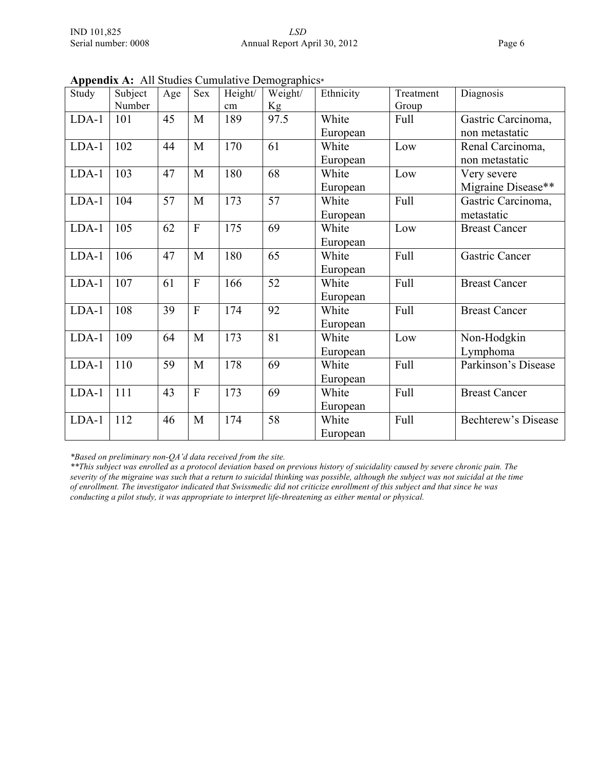| Study   | Subject | Age | Sex          | Height/ | $\mu$<br>Weight/ | Ethnicity | Treatment   | Diagnosis            |
|---------|---------|-----|--------------|---------|------------------|-----------|-------------|----------------------|
|         | Number  |     |              | cm      | Kg               |           | Group       |                      |
| $LDA-1$ | 101     | 45  | M            | 189     | 97.5             | White     | Full        | Gastric Carcinoma,   |
|         |         |     |              |         |                  | European  |             | non metastatic       |
| $LDA-1$ | 102     | 44  | M            | 170     | 61               | White     | Low         | Renal Carcinoma,     |
|         |         |     |              |         |                  | European  |             | non metastatic       |
| $LDA-1$ | 103     | 47  | M            | 180     | 68               | White     | Low         | Very severe          |
|         |         |     |              |         |                  | European  |             | Migraine Disease**   |
| $LDA-1$ | 104     | 57  | M            | 173     | 57               | White     | <b>Full</b> | Gastric Carcinoma,   |
|         |         |     |              |         |                  | European  |             | metastatic           |
| $LDA-1$ | 105     | 62  | $\mathbf{F}$ | 175     | 69               | White     | Low         | <b>Breast Cancer</b> |
|         |         |     |              |         |                  | European  |             |                      |
| LDA-1   | 106     | 47  | M            | 180     | 65               | White     | Full        | Gastric Cancer       |
|         |         |     |              |         |                  | European  |             |                      |
| $LDA-1$ | 107     | 61  | $\mathbf{F}$ | 166     | 52               | White     | Full        | <b>Breast Cancer</b> |
|         |         |     |              |         |                  | European  |             |                      |
| $LDA-1$ | 108     | 39  | $\mathbf{F}$ | 174     | 92               | White     | <b>Full</b> | <b>Breast Cancer</b> |
|         |         |     |              |         |                  | European  |             |                      |
| $LDA-1$ | 109     | 64  | M            | 173     | 81               | White     | Low         | Non-Hodgkin          |
|         |         |     |              |         |                  | European  |             | Lymphoma             |
| $LDA-1$ | 110     | 59  | M            | 178     | 69               | White     | <b>Full</b> | Parkinson's Disease  |
|         |         |     |              |         |                  | European  |             |                      |
| $LDA-1$ | 111     | 43  | $\mathbf{F}$ | 173     | 69               | White     | <b>Full</b> | <b>Breast Cancer</b> |
|         |         |     |              |         |                  | European  |             |                      |
| LDA-1   | 112     | 46  | M            | 174     | 58               | White     | Full        | Bechterew's Disease  |
|         |         |     |              |         |                  | European  |             |                      |

**Appendix A:** All Studies Cumulative Demographics\*

*\*Based on preliminary non-QA'd data received from the site.*

*\*\*This subject was enrolled as a protocol deviation based on previous history of suicidality caused by severe chronic pain. The severity of the migraine was such that a return to suicidal thinking was possible, although the subject was not suicidal at the time of enrollment. The investigator indicated that Swissmedic did not criticize enrollment of this subject and that since he was conducting a pilot study, it was appropriate to interpret life-threatening as either mental or physical.*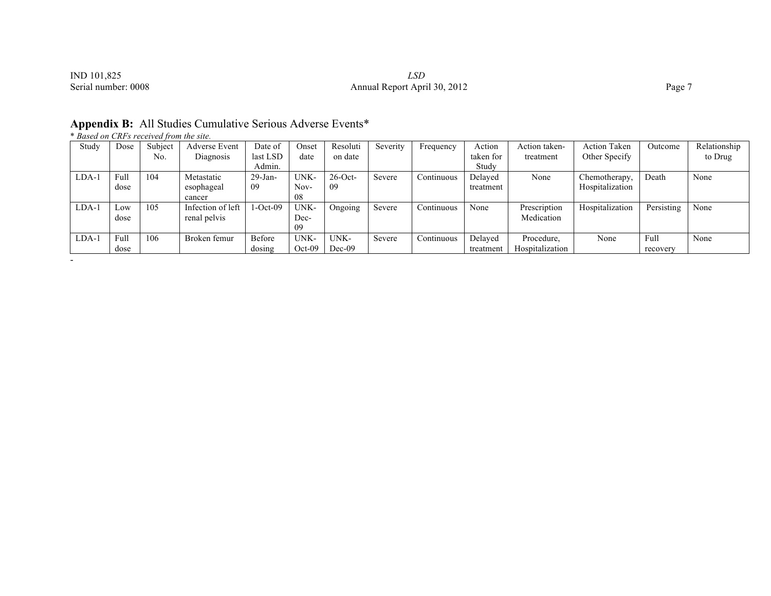| IND 101,825         | LSD               |
|---------------------|-------------------|
| Serial number: 0008 | Annual Report Apr |

-

# SERIAL IND 101,825<br>Serial number: 0008 2012 2012 Page 7

| Appendix B: All Studies Cumulative Serious Adverse Events* |  |  |  |  |  |
|------------------------------------------------------------|--|--|--|--|--|
|------------------------------------------------------------|--|--|--|--|--|

\* *Based on CRFs received from the site.*

| Study   | Dose | Subject | <b>Adverse Event</b> | Date of    | Onset    | Resoluti   | Severity | Frequency  | Action    | Action taken-   | <b>Action Taken</b> | Outcome    | Relationship |
|---------|------|---------|----------------------|------------|----------|------------|----------|------------|-----------|-----------------|---------------------|------------|--------------|
|         |      | No.     | Diagnosis            | last LSD   | date     | on date    |          |            | taken for | treatment       | Other Specify       |            | to Drug      |
|         |      |         |                      | Admin.     |          |            |          |            | Study     |                 |                     |            |              |
| $LDA-1$ | Full | 104     | Metastatic           | $29$ -Jan- | UNK-     | $26$ -Oct- | Severe   | Continuous | Delayed   | None            | Chemotherapy,       | Death      | None         |
|         | dose |         | esophageal           | -09        | Nov-     | 09         |          |            | treatment |                 | Hospitalization     |            |              |
|         |      |         | cancer               |            | 08       |            |          |            |           |                 |                     |            |              |
| $LDA-1$ | Low  | 105     | Infection of left    | $-Oct-09$  | UNK-     | Ongoing    | Severe   | Continuous | None      | Prescription    | Hospitalization     | Persisting | None         |
|         | dose |         | renal pelvis         |            | Dec-     |            |          |            |           | Medication      |                     |            |              |
|         |      |         |                      |            | 09       |            |          |            |           |                 |                     |            |              |
| $LDA-1$ | Full | 106     | Broken femur         | Before     | UNK-     | UNK-       | Severe   | Continuous | Delayed   | Procedure.      | None                | Full       | None         |
|         | dose |         |                      | dosing     | $Oct-09$ | $Dec-09$   |          |            | treatment | Hospitalization |                     | recovery   |              |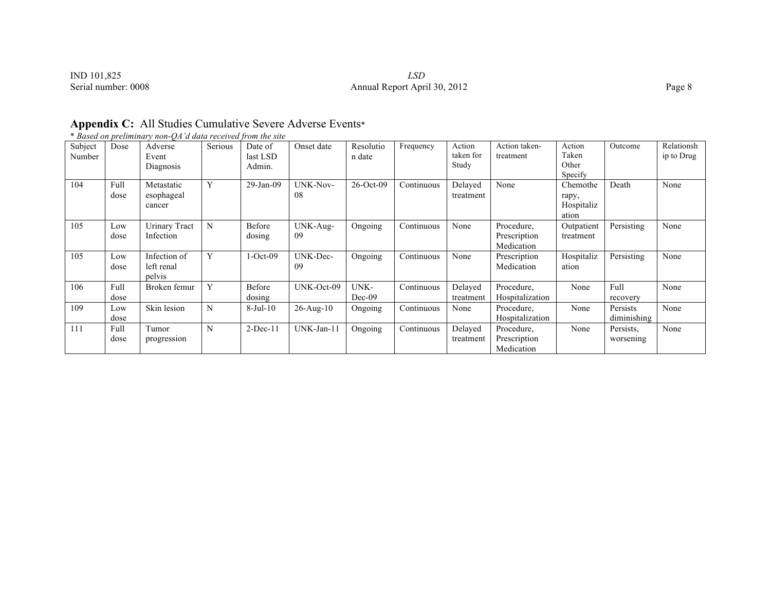IND 101,825 *LSD*<br>Serial number: 0008 **LSD**<br>Annual Report Apri

# Annual Report April 30, 2012 Page 8

\* *Based on preliminary non-QA'd data received from the site*

| Subject<br>Number | Dose         | Adverse<br>Event<br>Diagnosis        | Serious | Date of<br>last LSD<br>Admin. | Onset date            | Resolutio<br>n date | Frequency  | Action<br>taken for<br>Study | Action taken-<br>treatment               | Action<br>Taken<br>Other<br>Specify      | Outcome                 | Relationsh<br>ip to Drug |
|-------------------|--------------|--------------------------------------|---------|-------------------------------|-----------------------|---------------------|------------|------------------------------|------------------------------------------|------------------------------------------|-------------------------|--------------------------|
| 104               | Full<br>dose | Metastatic<br>esophageal<br>cancer   | Y       | 29-Jan-09                     | <b>UNK-Nov-</b><br>08 | $26$ -Oct-09        | Continuous | Delayed<br>treatment         | None                                     | Chemothe<br>rapy,<br>Hospitaliz<br>ation | Death                   | None                     |
| 105               | Low<br>dose  | <b>Urinary Tract</b><br>Infection    | N       | Before<br>dosing              | UNK-Aug-<br>-09       | Ongoing             | Continuous | None                         | Procedure.<br>Prescription<br>Medication | Outpatient<br>treatment                  | Persisting              | None                     |
| 105               | Low<br>dose  | Infection of<br>left renal<br>pelvis | Y       | $1-Oct-09$                    | UNK-Dec-<br>09        | Ongoing             | Continuous | None                         | Prescription<br>Medication               | Hospitaliz<br>ation                      | Persisting              | None                     |
| 106               | Full<br>dose | Broken femur                         | Y       | Before<br>dosing              | UNK-Oct-09            | UNK-<br>$Dec-09$    | Continuous | Delayed<br>treatment         | Procedure,<br>Hospitalization            | None                                     | Full<br>recovery        | None                     |
| 109               | Low<br>dose  | Skin lesion                          | N       | $8-Jul-10$                    | $26$ -Aug- $10$       | Ongoing             | Continuous | None                         | Procedure,<br>Hospitalization            | None                                     | Persists<br>diminishing | None                     |
| 111               | Full<br>dose | Tumor<br>progression                 | N       | $2-Dec-11$                    | UNK-Jan-11            | Ongoing             | Continuous | Delayed<br>treatment         | Procedure,<br>Prescription<br>Medication | None                                     | Persists.<br>worsening  | None                     |